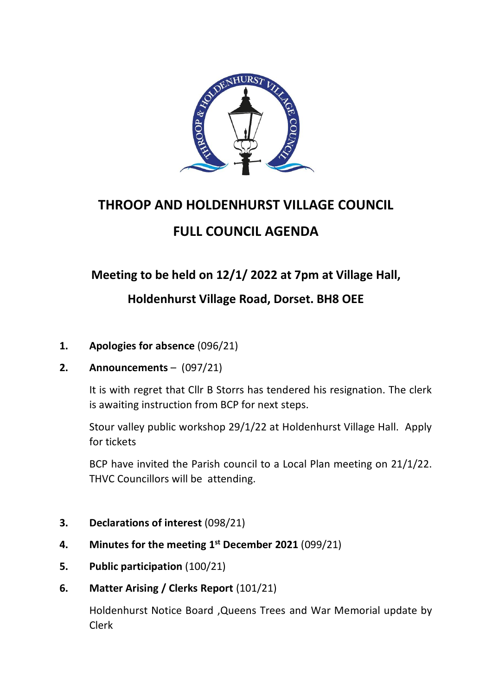

# **THROOP AND HOLDENHURST VILLAGE COUNCIL FULL COUNCIL AGENDA**

## **Meeting to be held on 12/1/ 2022 at 7pm at Village Hall,**

### **Holdenhurst Village Road, Dorset. BH8 OEE**

- **1. Apologies for absence** (096/21)
- **2. Announcements** (097/21)

It is with regret that Cllr B Storrs has tendered his resignation. The clerk is awaiting instruction from BCP for next steps.

Stour valley public workshop 29/1/22 at Holdenhurst Village Hall. Apply for tickets

BCP have invited the Parish council to a Local Plan meeting on 21/1/22. THVC Councillors will be attending.

- **3. Declarations of interest** (098/21)
- **4. Minutes for the meeting 1 st December 2021** (099/21)
- **5. Public participation** (100/21)
- **6. Matter Arising / Clerks Report** (101/21)

Holdenhurst Notice Board ,Queens Trees and War Memorial update by Clerk